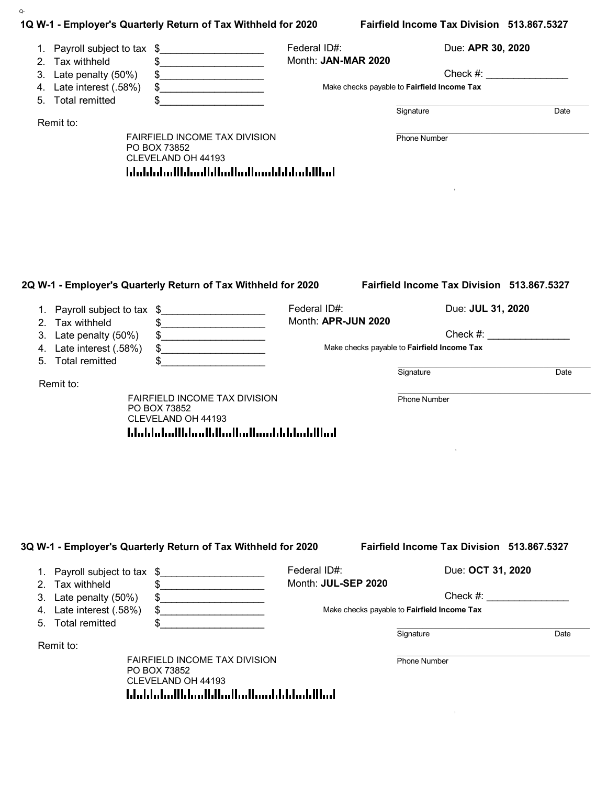| 1Q W-1 - Employer's Quarterly Return of Tax Withheld for 2020<br>Fairfield Income Tax Division 513.867.5327<br>Federal ID#:<br>Due: APR 30, 2020<br>1. Payroll subject to tax \$<br>Month: JAN-MAR 2020<br>Tax withheld<br>\$<br>2.<br>$Check \#:$<br>Late penalty (50%)<br>3.<br>\$<br>Late interest (.58%)<br>\$<br>Make checks payable to Fairfield Income Tax<br>4.<br><u> 1980 - Jan Stein Stein Stein Stein Stein Stein Stein Stein Stein Stein Stein Stein Stein Stein Stein Stein Stein Stein Stein Stein Stein Stein Stein Stein Stein Stein Stein Stein Stein Stein Stein Stein Stein Stein Stein</u><br><b>Total remitted</b><br>\$<br>5.<br>Signature<br>Date<br>Remit to:<br>FAIRFIELD INCOME TAX DIVISION<br><b>Phone Number</b><br>PO BOX 73852<br>CLEVELAND OH 44193<br>blobbolodthloodhloottoutoonhlddoddthol<br>2Q W-1 - Employer's Quarterly Return of Tax Withheld for 2020<br>Fairfield Income Tax Division 513.867.5327<br>Federal ID#:<br>Due: JUL 31, 2020<br>\$<br>1. Payroll subject to tax<br>Month: APR-JUN 2020<br>2. Tax withheld<br>\$<br>Check #:<br>Late penalty (50%)<br>3.<br>\$<br>Late interest (.58%)<br>Make checks payable to Fairfield Income Tax<br>\$<br>4.<br><u>.</u><br><b>Total remitted</b><br>5 <sub>1</sub><br>Signature<br>Date<br>Remit to:<br>FAIRFIELD INCOME TAX DIVISION<br><b>Phone Number</b><br>PO BOX 73852<br>CLEVELAND OH 44193<br>hlabhallahaillilaallahailaallaahhlabillaal<br>Fairfield Income Tax Division 513.867.5327<br>3Q W-1 - Employer's Quarterly Return of Tax Withheld for 2020<br>Federal ID#:<br>Due: OCT 31, 2020<br>1. Payroll subject to tax \$<br>Month: JUL-SEP 2020<br>2. Tax withheld<br>\$ | Q-                    |  |             |  |  |
|---------------------------------------------------------------------------------------------------------------------------------------------------------------------------------------------------------------------------------------------------------------------------------------------------------------------------------------------------------------------------------------------------------------------------------------------------------------------------------------------------------------------------------------------------------------------------------------------------------------------------------------------------------------------------------------------------------------------------------------------------------------------------------------------------------------------------------------------------------------------------------------------------------------------------------------------------------------------------------------------------------------------------------------------------------------------------------------------------------------------------------------------------------------------------------------------------------------------------------------------------------------------------------------------------------------------------------------------------------------------------------------------------------------------------------------------------------------------------------------------------------------------------------------------------------------------------------------------------------------------------------------------------------------------------------|-----------------------|--|-------------|--|--|
|                                                                                                                                                                                                                                                                                                                                                                                                                                                                                                                                                                                                                                                                                                                                                                                                                                                                                                                                                                                                                                                                                                                                                                                                                                                                                                                                                                                                                                                                                                                                                                                                                                                                                 |                       |  |             |  |  |
|                                                                                                                                                                                                                                                                                                                                                                                                                                                                                                                                                                                                                                                                                                                                                                                                                                                                                                                                                                                                                                                                                                                                                                                                                                                                                                                                                                                                                                                                                                                                                                                                                                                                                 |                       |  |             |  |  |
|                                                                                                                                                                                                                                                                                                                                                                                                                                                                                                                                                                                                                                                                                                                                                                                                                                                                                                                                                                                                                                                                                                                                                                                                                                                                                                                                                                                                                                                                                                                                                                                                                                                                                 |                       |  |             |  |  |
|                                                                                                                                                                                                                                                                                                                                                                                                                                                                                                                                                                                                                                                                                                                                                                                                                                                                                                                                                                                                                                                                                                                                                                                                                                                                                                                                                                                                                                                                                                                                                                                                                                                                                 |                       |  |             |  |  |
|                                                                                                                                                                                                                                                                                                                                                                                                                                                                                                                                                                                                                                                                                                                                                                                                                                                                                                                                                                                                                                                                                                                                                                                                                                                                                                                                                                                                                                                                                                                                                                                                                                                                                 |                       |  |             |  |  |
|                                                                                                                                                                                                                                                                                                                                                                                                                                                                                                                                                                                                                                                                                                                                                                                                                                                                                                                                                                                                                                                                                                                                                                                                                                                                                                                                                                                                                                                                                                                                                                                                                                                                                 |                       |  |             |  |  |
|                                                                                                                                                                                                                                                                                                                                                                                                                                                                                                                                                                                                                                                                                                                                                                                                                                                                                                                                                                                                                                                                                                                                                                                                                                                                                                                                                                                                                                                                                                                                                                                                                                                                                 |                       |  |             |  |  |
|                                                                                                                                                                                                                                                                                                                                                                                                                                                                                                                                                                                                                                                                                                                                                                                                                                                                                                                                                                                                                                                                                                                                                                                                                                                                                                                                                                                                                                                                                                                                                                                                                                                                                 |                       |  |             |  |  |
|                                                                                                                                                                                                                                                                                                                                                                                                                                                                                                                                                                                                                                                                                                                                                                                                                                                                                                                                                                                                                                                                                                                                                                                                                                                                                                                                                                                                                                                                                                                                                                                                                                                                                 |                       |  |             |  |  |
|                                                                                                                                                                                                                                                                                                                                                                                                                                                                                                                                                                                                                                                                                                                                                                                                                                                                                                                                                                                                                                                                                                                                                                                                                                                                                                                                                                                                                                                                                                                                                                                                                                                                                 |                       |  |             |  |  |
| 4. Late interest (.58%)<br>Make checks payable to Fairfield Income Tax                                                                                                                                                                                                                                                                                                                                                                                                                                                                                                                                                                                                                                                                                                                                                                                                                                                                                                                                                                                                                                                                                                                                                                                                                                                                                                                                                                                                                                                                                                                                                                                                          | 3. Late penalty (50%) |  | $Check \#:$ |  |  |
| 5. Total remitted<br>Signature<br>Date                                                                                                                                                                                                                                                                                                                                                                                                                                                                                                                                                                                                                                                                                                                                                                                                                                                                                                                                                                                                                                                                                                                                                                                                                                                                                                                                                                                                                                                                                                                                                                                                                                          |                       |  |             |  |  |
| Remit to:<br><b>FAIRFIELD INCOME TAX DIVISION</b><br><b>Phone Number</b>                                                                                                                                                                                                                                                                                                                                                                                                                                                                                                                                                                                                                                                                                                                                                                                                                                                                                                                                                                                                                                                                                                                                                                                                                                                                                                                                                                                                                                                                                                                                                                                                        |                       |  |             |  |  |

, and the contract of the contract of the contract of the contract of the contract of the contract of the contract of the contract of the contract of the contract of the contract of the contract of the contract of the cont

PO BOX 73852 CLEVELAND OH 44193